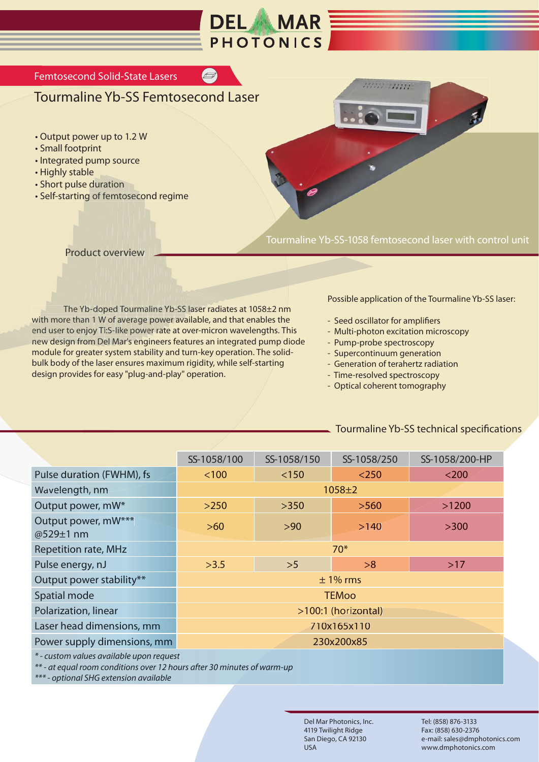

## Tourmaline Yb-SS Femtosecond Laser

- Output power up to 1.2 W
- Small footprint
- Integrated pump source
- Highly stable
- Short pulse duration
- Self-starting of femtosecond regime on<br>nto:<br>rerv<br>d To ation<br>femtos<br>overvi g of femto



Tourmaline Yb-SS-1058 femtosecond laser with control unit

Product overview

The Yb-doped Tourmaline Yb-SS laser radiates at 1058±2 nm<br>with more than 1 W of average power available, and that enables the with more than 1 W of average power available, and that enables the The Yb-doped Tourmaline Yb-SS laser radiates at 1058±2 nm<br>with more than 1 W of average power available, and that enables the<br>end user to enjoy Ti:S-like power rate at over-micron wavelengths. This end user to enjoy Ti:S-like power rate at over-micron wavelengths. This<br>new design from Del Mar's engineers features an integrated pump diode module for greater system stability and turn-key operation. The solidbulk body of the laser ensures maximum rigidity, while self-starting design provides for easy "plug-and-play" operation. w<br>m iew<br>urm<br>erage<br>pow<br>s eng ose<br>vie<br>our<br>e p<br>r's e rvurmaline d edof e p o -d1 - b uration<br>of femtoseco<br>ct overview<br>ct overview<br>doped Tourma<br>y Ti:S-like pow<br>Del Mar's eng rer<br>d T<br>f a<br>-lik ve<br>ed<br>ed<br>5-li<br>1 M ov<br>per<br>v ol<br>i:S-<br>el l ov<br>pe<br>i:S lop<br>W<br>Ti:<br>De y T ง-d<br>า 1<br>m y ነ 1<br>oy<br>m an<br>njo Yb-c<br><sub>l</sub>an 1<br>njoy n har<br>enj<br>fro e The<br>re th<br><sup>r</sup> to e<br>ign f o ith more t<br>nd user to<br>ew design er t more<br>user t<br>desig d user with mo<br>end user<br>new des u Femtosecond Solid-State Lasers<br>
Tourmaline Yb-SS Femto<br>
• Output power up to 1.2 W<br>
• Small footprint<br>
• Integrated pump source<br>
• Highly stable<br>
• Short pulse duration<br>
• Self-starting of femtosecond regin<br>
Product overvi

Possible application of the Tourmaline Yb-SS laser:

- Seed oscillator for amplifiers
- Multi-photon excitation microscopy
- Pump-probe spectroscopy
- Supercontinuum generation
- Generation of terahertz radiation
- Time-resolved spectroscopy
- Optical coherent tomography

## Tourmaline Yb-SS technical specifications

|                                          | SS-1058/100         | SS-1058/150 | SS-1058/250 | SS-1058/200-HP |
|------------------------------------------|---------------------|-------------|-------------|----------------|
| Pulse duration (FWHM), fs                | < 100               | < 150       | $<$ 250     | $<$ 200        |
| Wavelength, nm                           | $1058 + 2$          |             |             |                |
| Output power, mW*                        | $>250$              | >350        | >560        | >1200          |
| Output power, mW***<br>@529±1 nm         | $>60$               | >90         | >140        | >300           |
| <b>Repetition rate, MHz</b>              | $70*$               |             |             |                |
| Pulse energy, nJ                         | >3.5                | >5          | >8          | $>17$          |
| Output power stability**                 | $±$ 1% rms          |             |             |                |
| Spatial mode                             | <b>TEMoo</b>        |             |             |                |
| Polarization, linear                     | >100:1 (horizontal) |             |             |                |
| Laser head dimensions, mm                | 710x165x110         |             |             |                |
| Power supply dimensions, mm              | 230x200x85          |             |             |                |
| * - custom values available upon request |                     |             |             |                |

*\*\* - at equal room conditions over 12 hours after 30 minutes of warm-up*

*\*\*\* - optional SHG extension available*

Del Mar Photonics, Inc. 4119 Twilight Ridge San Diego, CA 92130 USA

Tel: (858) 876-3133 Fax: (858) 630-2376 e-mail: sales@dmphotonics.com www.dmphotonics.com